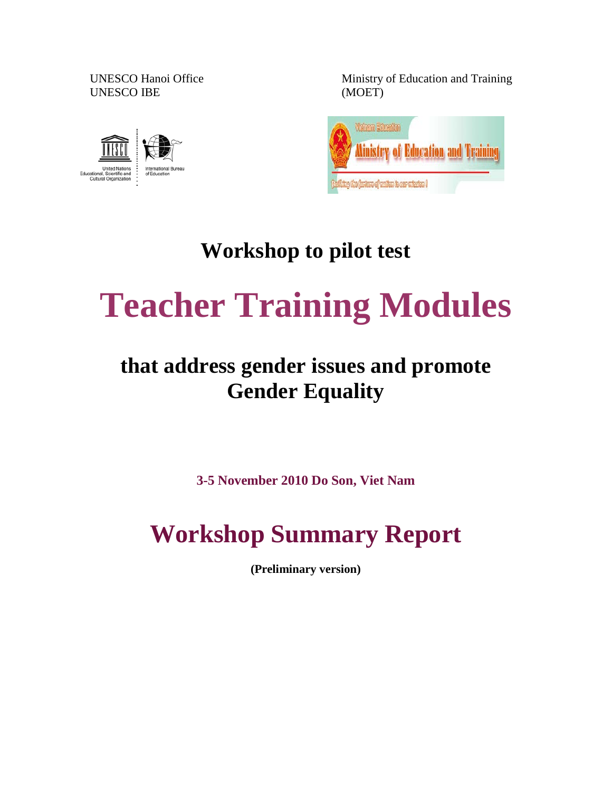UNESCO IBE (MOET)



UNESCO Hanoi Office Ministry of Education and Training



### **Workshop to pilot test**

# **Teacher Training Modules**

### **that address gender issues and promote Gender Equality**

**3-5 November 2010 Do Son, Viet Nam**

## **Workshop Summary Report**

**(Preliminary version)**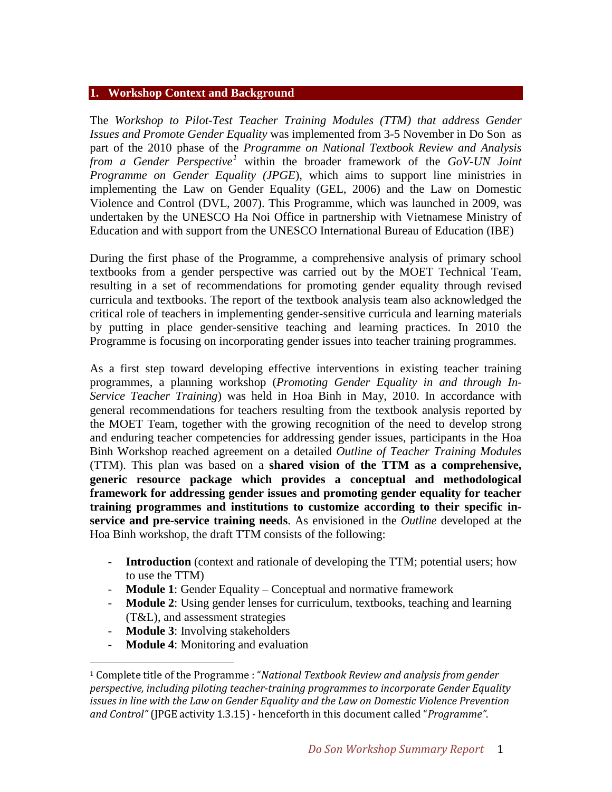#### **1. Workshop Context and Background**

The *Workshop to Pilot-Test Teacher Training Modules (TTM) that address Gender Issues and Promote Gender Equality* was implemented from 3-5 November in Do Son as part of the 2010 phase of the *Programme on National Textbook Review and Analysis from a Gender Perspective[1](#page-1-0)* within the broader framework of the *GoV-UN Joint Programme on Gender Equality (JPGE*), which aims to support line ministries in implementing the Law on Gender Equality (GEL, 2006) and the Law on Domestic Violence and Control (DVL, 2007). This Programme, which was launched in 2009, was undertaken by the UNESCO Ha Noi Office in partnership with Vietnamese Ministry of Education and with support from the UNESCO International Bureau of Education (IBE)

During the first phase of the Programme, a comprehensive analysis of primary school textbooks from a gender perspective was carried out by the MOET Technical Team, resulting in a set of recommendations for promoting gender equality through revised curricula and textbooks. The report of the textbook analysis team also acknowledged the critical role of teachers in implementing gender-sensitive curricula and learning materials by putting in place gender-sensitive teaching and learning practices. In 2010 the Programme is focusing on incorporating gender issues into teacher training programmes.

As a first step toward developing effective interventions in existing teacher training programmes, a planning workshop (*Promoting Gender Equality in and through In-Service Teacher Training*) was held in Hoa Binh in May, 2010. In accordance with general recommendations for teachers resulting from the textbook analysis reported by the MOET Team, together with the growing recognition of the need to develop strong and enduring teacher competencies for addressing gender issues, participants in the Hoa Binh Workshop reached agreement on a detailed *Outline of Teacher Training Modules*  (TTM). This plan was based on a **shared vision of the TTM as a comprehensive, generic resource package which provides a conceptual and methodological framework for addressing gender issues and promoting gender equality for teacher training programmes and institutions to customize according to their specific inservice and pre-service training needs**. As envisioned in the *Outline* developed at the Hoa Binh workshop, the draft TTM consists of the following:

- **Introduction** (context and rationale of developing the TTM; potential users; how to use the TTM)
- **Module 1**: Gender Equality Conceptual and normative framework
- **Module 2**: Using gender lenses for curriculum, textbooks, teaching and learning (T&L), and assessment strategies
- **Module 3**: Involving stakeholders
- **Module 4**: Monitoring and evaluation

<span id="page-1-0"></span> <sup>1</sup> Complete title of the Programme : "*National Textbook Review and analysis from gender perspective, including piloting teacher-training programmes to incorporate Gender Equality issues in line with the Law on Gender Equality and the Law on Domestic Violence Prevention and Control"* (JPGE activity 1.3.15) - henceforth in this document called "*Programme"*.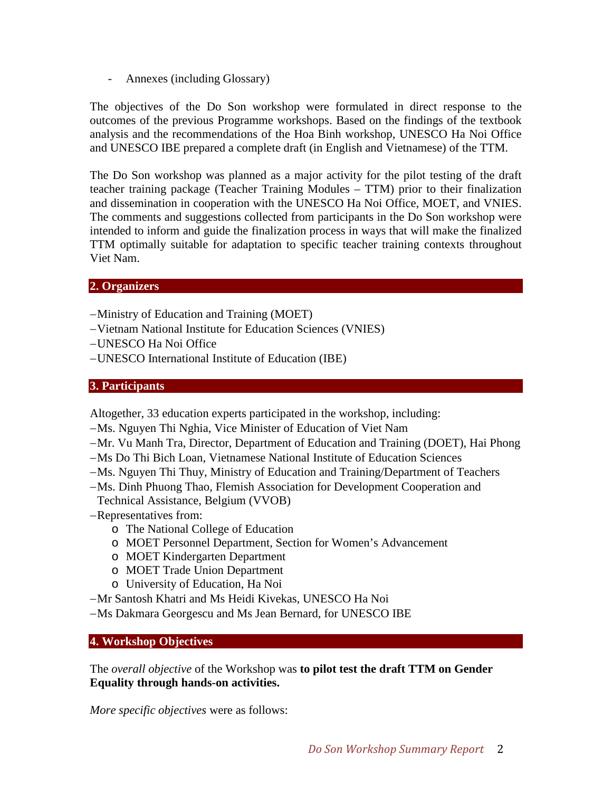- Annexes (including Glossary)

The objectives of the Do Son workshop were formulated in direct response to the outcomes of the previous Programme workshops. Based on the findings of the textbook analysis and the recommendations of the Hoa Binh workshop, UNESCO Ha Noi Office and UNESCO IBE prepared a complete draft (in English and Vietnamese) of the TTM.

The Do Son workshop was planned as a major activity for the pilot testing of the draft teacher training package (Teacher Training Modules – TTM) prior to their finalization and dissemination in cooperation with the UNESCO Ha Noi Office, MOET, and VNIES. The comments and suggestions collected from participants in the Do Son workshop were intended to inform and guide the finalization process in ways that will make the finalized TTM optimally suitable for adaptation to specific teacher training contexts throughout Viet Nam.

#### **2. Organizers**

- −Ministry of Education and Training (MOET)
- −Vietnam National Institute for Education Sciences (VNIES)
- −UNESCO Ha Noi Office
- −UNESCO International Institute of Education (IBE)

#### **3. Participants**

Altogether, 33 education experts participated in the workshop, including:

- −Ms. Nguyen Thi Nghia, Vice Minister of Education of Viet Nam
- −Mr. Vu Manh Tra, Director, Department of Education and Training (DOET), Hai Phong
- −Ms Do Thi Bich Loan, Vietnamese National Institute of Education Sciences
- −Ms. Nguyen Thi Thuy, Ministry of Education and Training/Department of Teachers
- −Ms. Dinh Phuong Thao, Flemish Association for Development Cooperation and
- Technical Assistance, Belgium (VVOB)
- −Representatives from:
	- o The National College of Education
	- o MOET Personnel Department, Section for Women's Advancement
	- o MOET Kindergarten Department
	- o MOET Trade Union Department
	- o University of Education, Ha Noi
- −Mr Santosh Khatri and Ms Heidi Kivekas, UNESCO Ha Noi
- −Ms Dakmara Georgescu and Ms Jean Bernard, for UNESCO IBE

#### **4. Workshop Objectives**

The *overall objective* of the Workshop was **to pilot test the draft TTM on Gender Equality through hands-on activities.**

*More specific objectives* were as follows: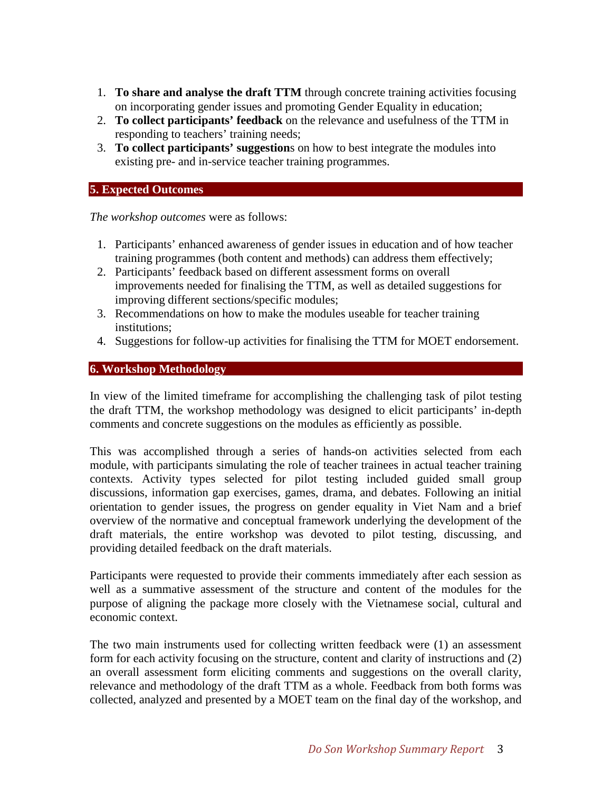- 1. **To share and analyse the draft TTM** through concrete training activities focusing on incorporating gender issues and promoting Gender Equality in education;
- 2. **To collect participants' feedback** on the relevance and usefulness of the TTM in responding to teachers' training needs;
- 3. **To collect participants' suggestion**s on how to best integrate the modules into existing pre- and in-service teacher training programmes.

#### **5. Expected Outcomes**

*The workshop outcomes* were as follows:

- 1. Participants' enhanced awareness of gender issues in education and of how teacher training programmes (both content and methods) can address them effectively;
- 2. Participants' feedback based on different assessment forms on overall improvements needed for finalising the TTM, as well as detailed suggestions for improving different sections/specific modules;
- 3. Recommendations on how to make the modules useable for teacher training institutions;
- 4. Suggestions for follow-up activities for finalising the TTM for MOET endorsement.

#### **6. Workshop Methodology**

In view of the limited timeframe for accomplishing the challenging task of pilot testing the draft TTM, the workshop methodology was designed to elicit participants' in-depth comments and concrete suggestions on the modules as efficiently as possible.

This was accomplished through a series of hands-on activities selected from each module, with participants simulating the role of teacher trainees in actual teacher training contexts. Activity types selected for pilot testing included guided small group discussions, information gap exercises, games, drama, and debates. Following an initial orientation to gender issues, the progress on gender equality in Viet Nam and a brief overview of the normative and conceptual framework underlying the development of the draft materials, the entire workshop was devoted to pilot testing, discussing, and providing detailed feedback on the draft materials.

Participants were requested to provide their comments immediately after each session as well as a summative assessment of the structure and content of the modules for the purpose of aligning the package more closely with the Vietnamese social, cultural and economic context.

The two main instruments used for collecting written feedback were (1) an assessment form for each activity focusing on the structure, content and clarity of instructions and (2) an overall assessment form eliciting comments and suggestions on the overall clarity, relevance and methodology of the draft TTM as a whole. Feedback from both forms was collected, analyzed and presented by a MOET team on the final day of the workshop, and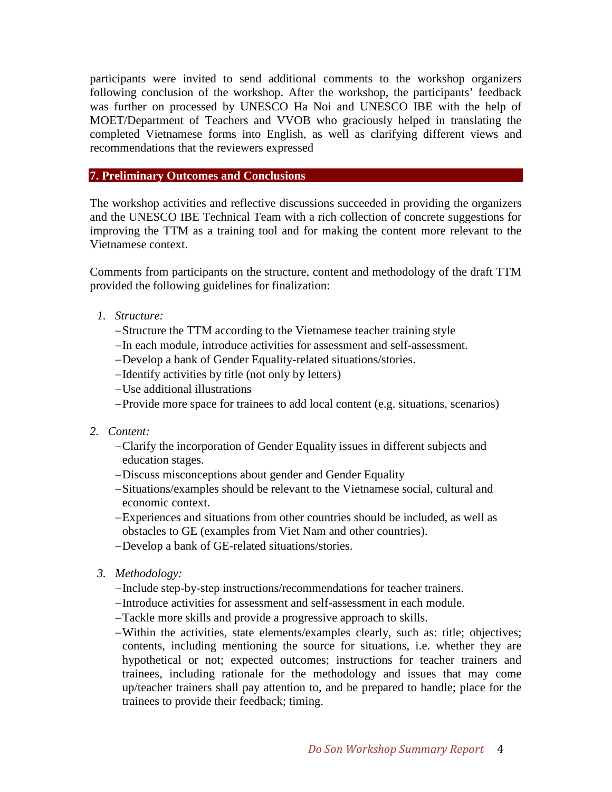participants were invited to send additional comments to the workshop organizers following conclusion of the workshop. After the workshop, the participants' feedback was further on processed by UNESCO Ha Noi and UNESCO IBE with the help of MOET/Department of Teachers and VVOB who graciously helped in translating the completed Vietnamese forms into English, as well as clarifying different views and recommendations that the reviewers expressed

#### **7. Preliminary Outcomes and Conclusions**

The workshop activities and reflective discussions succeeded in providing the organizers and the UNESCO IBE Technical Team with a rich collection of concrete suggestions for improving the TTM as a training tool and for making the content more relevant to the Vietnamese context.

Comments from participants on the structure, content and methodology of the draft TTM provided the following guidelines for finalization:

- *1. Structure:*
	- −Structure the TTM according to the Vietnamese teacher training style
	- −In each module, introduce activities for assessment and self-assessment.
	- −Develop a bank of Gender Equality-related situations/stories.
	- −Identify activities by title (not only by letters)
	- −Use additional illustrations
	- −Provide more space for trainees to add local content (e.g. situations, scenarios)
- *2. Content:*
	- −Clarify the incorporation of Gender Equality issues in different subjects and education stages.
	- −Discuss misconceptions about gender and Gender Equality
	- −Situations/examples should be relevant to the Vietnamese social, cultural and economic context.
	- −Experiences and situations from other countries should be included, as well as obstacles to GE (examples from Viet Nam and other countries).
	- −Develop a bank of GE-related situations/stories.
	- *3. Methodology:*
		- −Include step-by-step instructions/recommendations for teacher trainers.
		- −Introduce activities for assessment and self-assessment in each module.
		- −Tackle more skills and provide a progressive approach to skills.
		- −Within the activities, state elements/examples clearly, such as: title; objectives; contents, including mentioning the source for situations, i.e. whether they are hypothetical or not; expected outcomes; instructions for teacher trainers and trainees, including rationale for the methodology and issues that may come up/teacher trainers shall pay attention to, and be prepared to handle; place for the trainees to provide their feedback; timing.